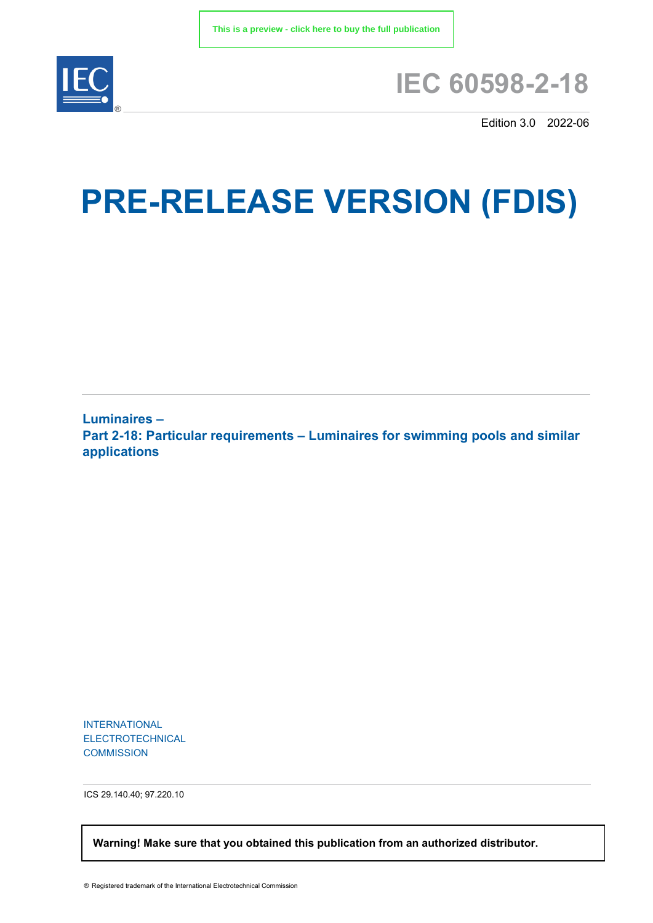

## **IEC 60598-2-18**

Edition 3.0 2022-06

# **PRE-RELEASE VERSION (FDIS)**

**Luminaires – Part 2-18: Particular requirements – Luminaires for swimming pools and similar applications**

INTERNATIONAL ELECTROTECHNICAL **COMMISSION** 

ICS 29.140.40; 97.220.10

 **Warning! Make sure that you obtained this publication from an authorized distributor.**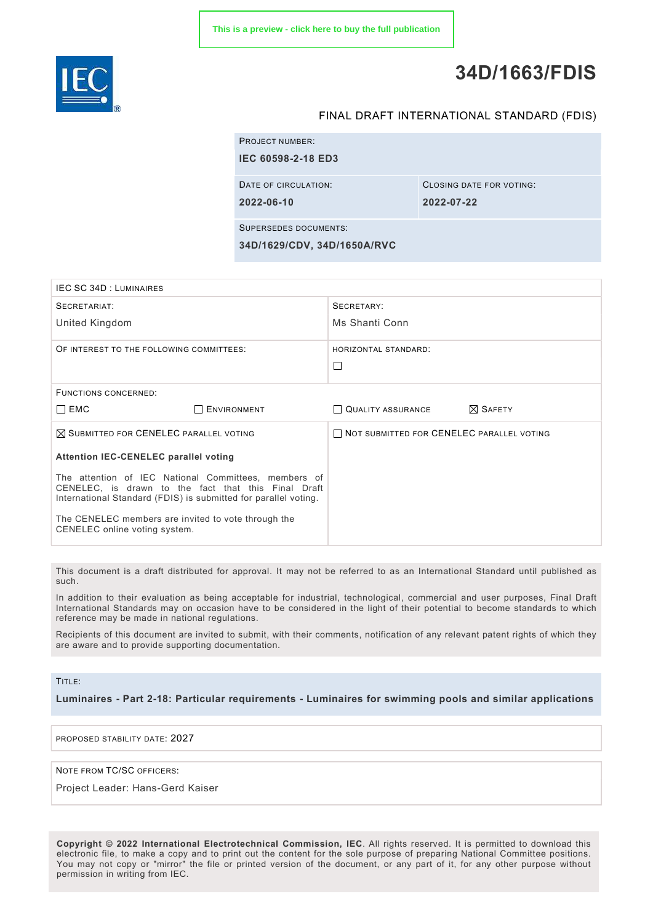

### 34D/1663/FDIS

#### FINAL DRAFT INTERNATIONAL STANDARD (FDIS)

| <b>PROJECT NUMBER:</b>       |                          |
|------------------------------|--------------------------|
| IEC 60598-2-18 ED3           |                          |
| DATE OF CIRCULATION:         | CLOSING DATE FOR VOTING: |
| 2022-06-10                   | 2022-07-22               |
| <b>SUPERSEDES DOCUMENTS:</b> |                          |

34D/1629/CDV, 34D/1650A/RVC

| <b>IEC SC 34D: LUMINAIRES</b>                                                                                                                                                  |                                                  |  |  |
|--------------------------------------------------------------------------------------------------------------------------------------------------------------------------------|--------------------------------------------------|--|--|
| SECRETARIAT:                                                                                                                                                                   | SECRETARY:                                       |  |  |
| United Kingdom                                                                                                                                                                 | Ms Shanti Conn                                   |  |  |
| OF INTEREST TO THE FOLLOWING COMMITTEES:                                                                                                                                       | HORIZONTAL STANDARD:                             |  |  |
|                                                                                                                                                                                | $\mathbf{I}$                                     |  |  |
| <b>FUNCTIONS CONCERNED:</b>                                                                                                                                                    |                                                  |  |  |
| $\square$ EMC<br><b>ENVIRONMENT</b>                                                                                                                                            | <b>N</b> SAFETY<br>$\Box$ QUALITY ASSURANCE      |  |  |
| $\boxtimes$ SUBMITTED FOR CENELEC PARALLEL VOTING                                                                                                                              | <b>NOT SUBMITTED FOR CENELEC PARALLEL VOTING</b> |  |  |
| <b>Attention IEC-CENELEC parallel voting</b>                                                                                                                                   |                                                  |  |  |
| The attention of IEC National Committees, members of<br>CENELEC, is drawn to the fact that this Final Draft<br>International Standard (FDIS) is submitted for parallel voting. |                                                  |  |  |
| The CENELEC members are invited to vote through the<br>CENELEC online voting system.                                                                                           |                                                  |  |  |

This document is a draft distributed for approval. It may not be referred to as an International Standard until published as such.

In addition to their evaluation as being acceptable for industrial, technological, commercial and user purposes, Final Draft International Standards may on occasion have to be considered in the light of their potential to become standards to which reference may be made in national regulations.

Recipients of this document are invited to submit, with their comments, notification of any relevant patent rights of which they are aware and to provide supporting documentation.

#### TITLE:

Luminaires - Part 2-18: Particular requirements - Luminaires for swimming pools and similar applications

PROPOSED STABILITY DATE: 2027

NOTE FROM TC/SC OFFICERS:

Project Leader: Hans-Gerd Kaiser

Copyright © 2022 International Electrotechnical Commission, IEC. All rights reserved. It is permitted to download this electronic file, to make a copy and to print out the content for the sole purpose of preparing National Committee positions. You may not copy or "mirror" the file or printed version of the document, or any part of it, for any other purpose without permission in writing from IEC.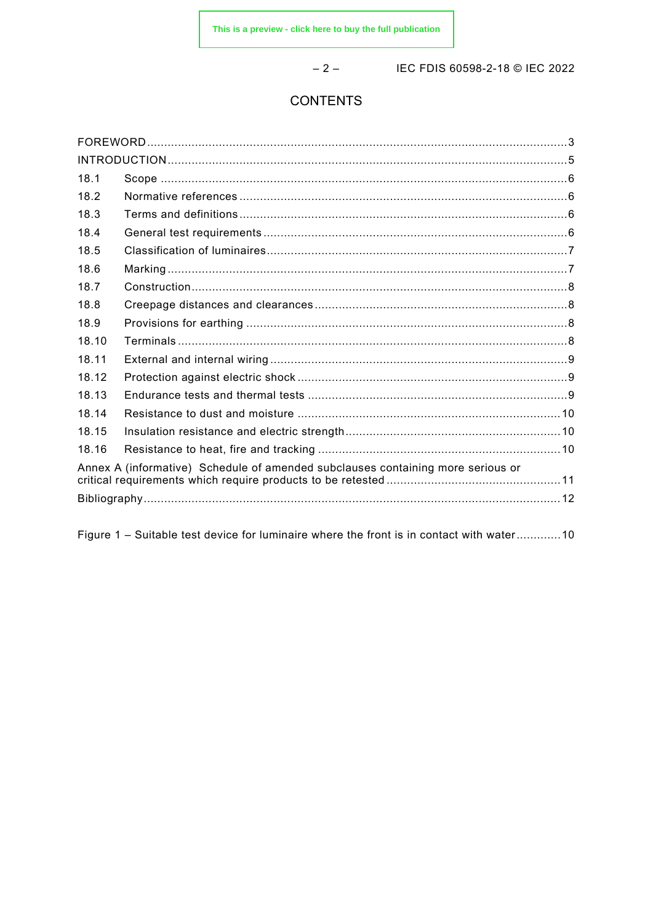$-2-$ 

IEC FDIS 60598-2-18 © IEC 2022

#### **CONTENTS**

| 18.1                                                                            |  |  |
|---------------------------------------------------------------------------------|--|--|
| 18.2                                                                            |  |  |
| 18.3                                                                            |  |  |
| 18.4                                                                            |  |  |
| 18.5                                                                            |  |  |
| 18.6                                                                            |  |  |
| 18.7                                                                            |  |  |
| 18.8                                                                            |  |  |
| 18.9                                                                            |  |  |
| 18.10                                                                           |  |  |
| 18.11                                                                           |  |  |
| 18.12                                                                           |  |  |
| 18.13                                                                           |  |  |
| 18.14                                                                           |  |  |
| 18.15                                                                           |  |  |
| 18.16                                                                           |  |  |
| Annex A (informative) Schedule of amended subclauses containing more serious or |  |  |
|                                                                                 |  |  |
|                                                                                 |  |  |

Figure 1 - Suitable test device for luminaire where the front is in contact with water............. 10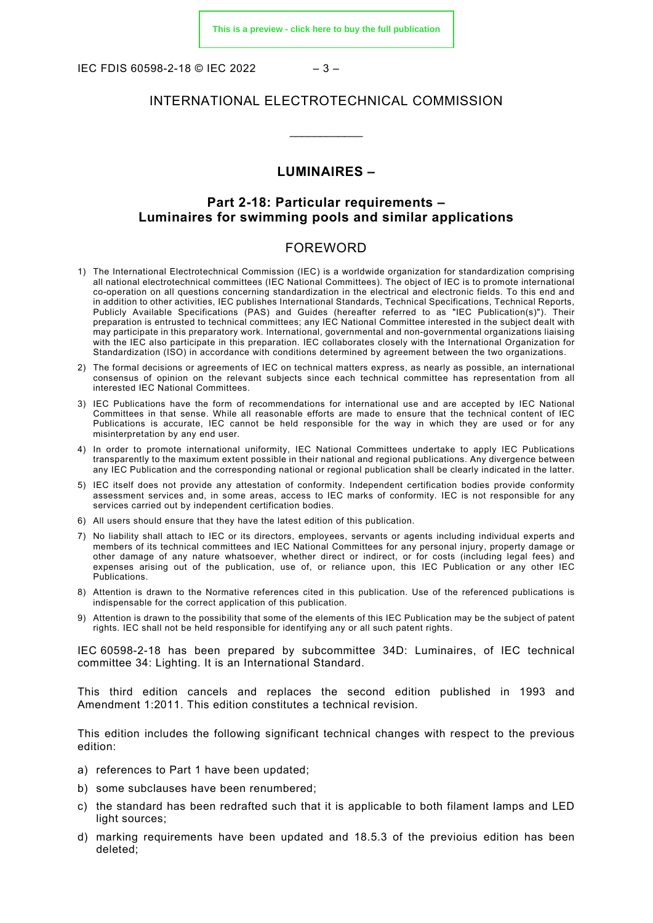IEC FDIS 60598-2-18 © IEC 2022  $-3-$ 

#### INTERNATIONAL ELECTROTECHNICAL COMMISSION

\_\_\_\_\_\_\_\_\_\_\_\_

#### **LUMINAIRES –**

#### **Part 2-18: Particular requirements – Luminaires for swimming pools and similar applications**

#### FOREWORD

- <span id="page-3-0"></span>1) The International Electrotechnical Commission (IEC) is a worldwide organization for standardization comprising all national electrotechnical committees (IEC National Committees). The object of IEC is to promote international co-operation on all questions concerning standardization in the electrical and electronic fields. To this end and in addition to other activities, IEC publishes International Standards, Technical Specifications, Technical Reports, Publicly Available Specifications (PAS) and Guides (hereafter referred to as "IEC Publication(s)"). Their preparation is entrusted to technical committees; any IEC National Committee interested in the subject dealt with may participate in this preparatory work. International, governmental and non-governmental organizations liaising with the IEC also participate in this preparation. IEC collaborates closely with the International Organization for Standardization (ISO) in accordance with conditions determined by agreement between the two organizations.
- 2) The formal decisions or agreements of IEC on technical matters express, as nearly as possible, an international consensus of opinion on the relevant subjects since each technical committee has representation from all interested IEC National Committees.
- 3) IEC Publications have the form of recommendations for international use and are accepted by IEC National Committees in that sense. While all reasonable efforts are made to ensure that the technical content of IEC Publications is accurate, IEC cannot be held responsible for the way in which they are used or for any misinterpretation by any end user.
- 4) In order to promote international uniformity, IEC National Committees undertake to apply IEC Publications transparently to the maximum extent possible in their national and regional publications. Any divergence between any IEC Publication and the corresponding national or regional publication shall be clearly indicated in the latter.
- 5) IEC itself does not provide any attestation of conformity. Independent certification bodies provide conformity assessment services and, in some areas, access to IEC marks of conformity. IEC is not responsible for any services carried out by independent certification bodies.
- 6) All users should ensure that they have the latest edition of this publication.
- 7) No liability shall attach to IEC or its directors, employees, servants or agents including individual experts and members of its technical committees and IEC National Committees for any personal injury, property damage or other damage of any nature whatsoever, whether direct or indirect, or for costs (including legal fees) and expenses arising out of the publication, use of, or reliance upon, this IEC Publication or any other IEC Publications.
- 8) Attention is drawn to the Normative references cited in this publication. Use of the referenced publications is indispensable for the correct application of this publication.
- 9) Attention is drawn to the possibility that some of the elements of this IEC Publication may be the subject of patent rights. IEC shall not be held responsible for identifying any or all such patent rights.

IEC 60598-2-18 has been prepared by subcommittee 34D: Luminaires, of IEC technical committee 34: Lighting. It is an International Standard.

This third edition cancels and replaces the second edition published in 1993 and Amendment 1:2011. This edition constitutes a technical revision.

This edition includes the following significant technical changes with respect to the previous edition:

- a) references to Part 1 have been updated;
- b) some subclauses have been renumbered;
- c) the standard has been redrafted such that it is applicable to both filament lamps and LED light sources;
- d) marking requirements have been updated and 18.5.3 of the previoius edition has been deleted;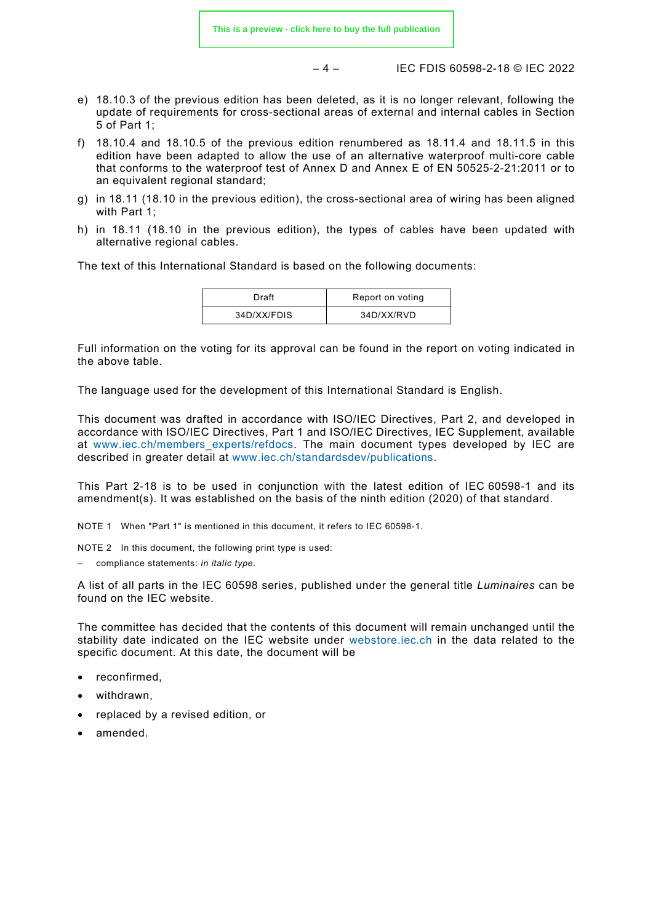– 4 – IEC FDIS 60598-2-18 © IEC 2022

- e) 18.10.3 of the previous edition has been deleted, as it is no longer relevant, following the update of requirements for cross-sectional areas of external and internal cables in Section 5 of Part 1;
- f) 18.10.4 and 18.10.5 of the previous edition renumbered as 18.11.4 and 18.11.5 in this edition have been adapted to allow the use of an alternative waterproof multi-core cable that conforms to the waterproof test of Annex D and Annex E of EN 50525-2-21:2011 or to an equivalent regional standard;
- g) in 18.11 (18.10 in the previous edition), the cross-sectional area of wiring has been aligned with Part 1;
- h) in 18.11 (18.10 in the previous edition), the types of cables have been updated with alternative regional cables.

The text of this International Standard is based on the following documents:

| Draft       | Report on voting |
|-------------|------------------|
| 34D/XX/FDIS | 34D/XX/RVD       |

Full information on the voting for its approval can be found in the report on voting indicated in the above table.

The language used for the development of this International Standard is English.

This document was drafted in accordance with ISO/IEC Directives, Part 2, and developed in accordance with ISO/IEC Directives, Part 1 and ISO/IEC Directives, IEC Supplement, available at [www.iec.ch/members\\_experts/refdocs.](https://www.iec.ch/members_experts/refdocs) The main document types developed by IEC are described in greater detail at [www.iec.ch/standardsdev/publications.](https://www.iec.ch/standardsdev/publications)

This Part 2-18 is to be used in conjunction with the latest edition of IEC 60598-1 and its amendment(s). It was established on the basis of the ninth edition (2020) of that standard.

NOTE 1 When "Part 1" is mentioned in this document, it refers to IEC 60598-1.

NOTE 2 In this document, the following print type is used:

– compliance statements: *in italic type*.

A list of all parts in the IEC 60598 series, published under the general title *Luminaires* can be found on the IEC website.

The committee has decided that the contents of this document will remain unchanged until the stability date indicated on the IEC website under [webstore.iec.ch](https://webstore.iec.ch/?ref=menu) in the data related to the specific document. At this date, the document will be

- reconfirmed,
- withdrawn.
- replaced by a revised edition, or
- amended.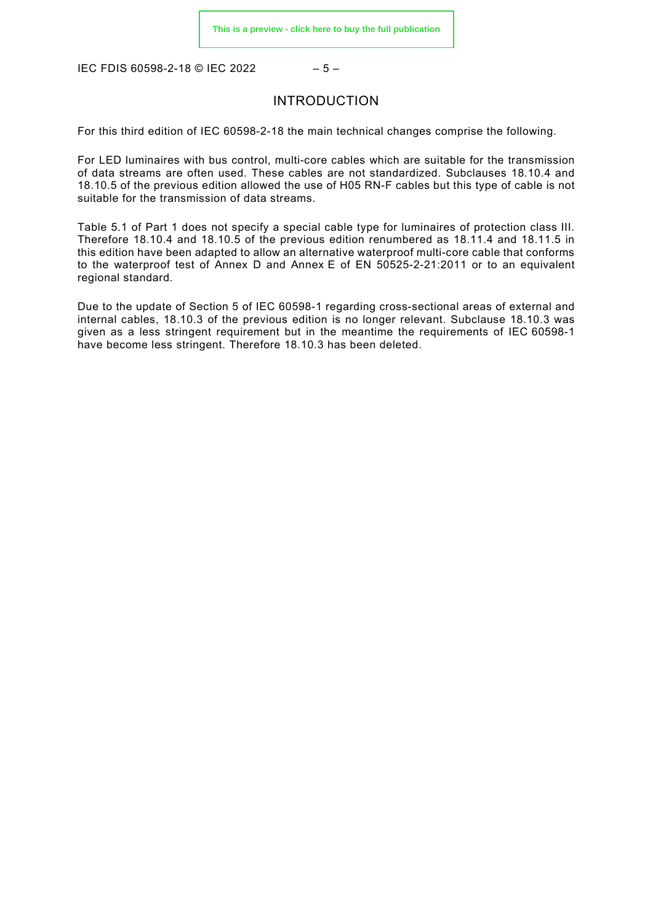<span id="page-5-0"></span>IEC FDIS 60598-2-18 © IEC 2022  $-5-$ 

#### INTRODUCTION

For this third edition of IEC 60598-2-18 the main technical changes comprise the following.

For LED luminaires with bus control, multi-core cables which are suitable for the transmission of data streams are often used. These cables are not standardized. Subclauses 18.10.4 and 18.10.5 of the previous edition allowed the use of H05 RN-F cables but this type of cable is not suitable for the transmission of data streams.

Table 5.1 of Part 1 does not specify a special cable type for luminaires of protection class III. Therefore 18.10.4 and 18.10.5 of the previous edition renumbered as 18.11.4 and 18.11.5 in this edition have been adapted to allow an alternative waterproof multi-core cable that conforms to the waterproof test of Annex D and Annex E of EN 50525-2-21:2011 or to an equivalent regional standard.

Due to the update of Section 5 of IEC 60598-1 regarding cross-sectional areas of external and internal cables, 18.10.3 of the previous edition is no longer relevant. Subclause 18.10.3 was given as a less stringent requirement but in the meantime the requirements of IEC 60598-1 have become less stringent. Therefore 18.10.3 has been deleted.